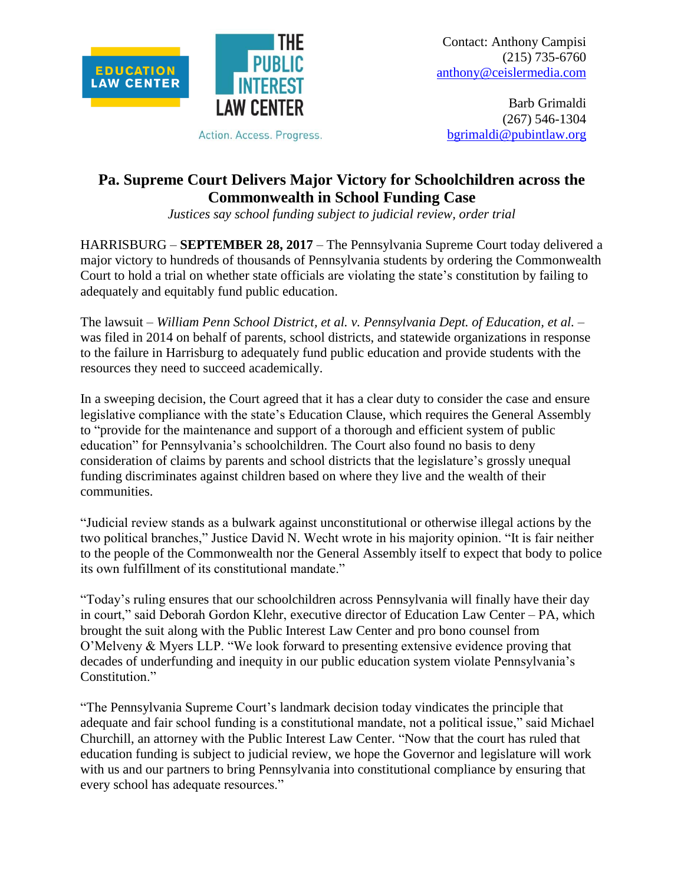



Action. Access. Progress.

Barb Grimaldi (267) 546-1304 [bgrimaldi@pubintlaw.org](mailto:bgrimaldi@pubintlaw.org)

**Pa. Supreme Court Delivers Major Victory for Schoolchildren across the Commonwealth in School Funding Case**

*Justices say school funding subject to judicial review, order trial*

HARRISBURG – **SEPTEMBER 28, 2017** – The Pennsylvania Supreme Court today delivered a major victory to hundreds of thousands of Pennsylvania students by ordering the Commonwealth Court to hold a trial on whether state officials are violating the state's constitution by failing to adequately and equitably fund public education.

The lawsuit – *William Penn School District, et al. v. Pennsylvania Dept. of Education, et al.* – was filed in 2014 on behalf of parents, school districts, and statewide organizations in response to the failure in Harrisburg to adequately fund public education and provide students with the resources they need to succeed academically.

In a sweeping decision, the Court agreed that it has a clear duty to consider the case and ensure legislative compliance with the state's Education Clause, which requires the General Assembly to "provide for the maintenance and support of a thorough and efficient system of public education" for Pennsylvania's schoolchildren. The Court also found no basis to deny consideration of claims by parents and school districts that the legislature's grossly unequal funding discriminates against children based on where they live and the wealth of their communities.

"Judicial review stands as a bulwark against unconstitutional or otherwise illegal actions by the two political branches," Justice David N. Wecht wrote in his majority opinion. "It is fair neither to the people of the Commonwealth nor the General Assembly itself to expect that body to police its own fulfillment of its constitutional mandate."

"Today's ruling ensures that our schoolchildren across Pennsylvania will finally have their day in court," said Deborah Gordon Klehr, executive director of Education Law Center – PA, which brought the suit along with the Public Interest Law Center and pro bono counsel from O'Melveny & Myers LLP. "We look forward to presenting extensive evidence proving that decades of underfunding and inequity in our public education system violate Pennsylvania's Constitution."

"The Pennsylvania Supreme Court's landmark decision today vindicates the principle that adequate and fair school funding is a constitutional mandate, not a political issue," said Michael Churchill, an attorney with the Public Interest Law Center. "Now that the court has ruled that education funding is subject to judicial review, we hope the Governor and legislature will work with us and our partners to bring Pennsylvania into constitutional compliance by ensuring that every school has adequate resources."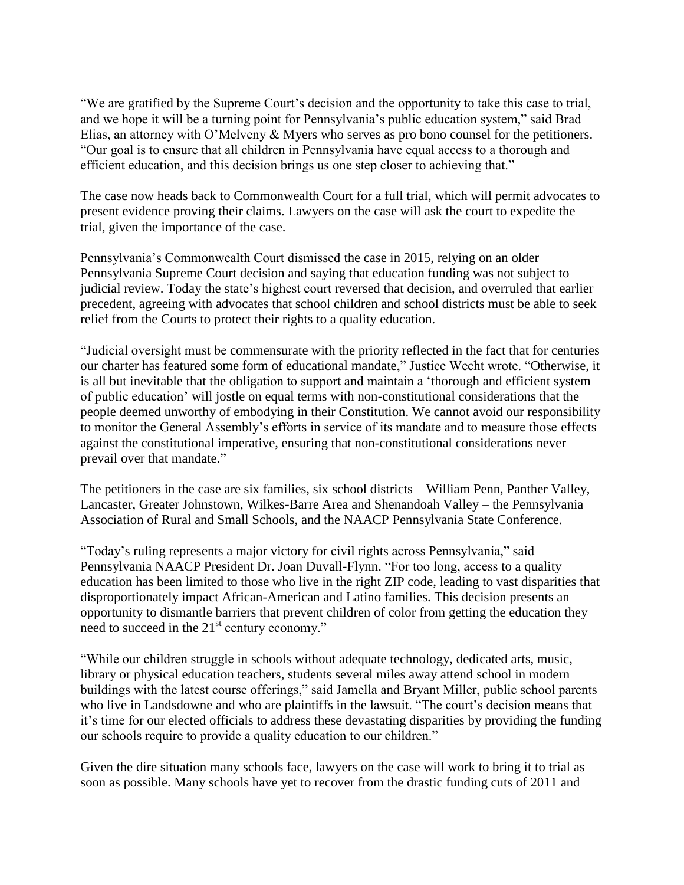"We are gratified by the Supreme Court's decision and the opportunity to take this case to trial, and we hope it will be a turning point for Pennsylvania's public education system," said Brad Elias, an attorney with O'Melveny & Myers who serves as pro bono counsel for the petitioners. "Our goal is to ensure that all children in Pennsylvania have equal access to a thorough and efficient education, and this decision brings us one step closer to achieving that."

The case now heads back to Commonwealth Court for a full trial, which will permit advocates to present evidence proving their claims. Lawyers on the case will ask the court to expedite the trial, given the importance of the case.

Pennsylvania's Commonwealth Court dismissed the case in 2015, relying on an older Pennsylvania Supreme Court decision and saying that education funding was not subject to judicial review. Today the state's highest court reversed that decision, and overruled that earlier precedent, agreeing with advocates that school children and school districts must be able to seek relief from the Courts to protect their rights to a quality education.

"Judicial oversight must be commensurate with the priority reflected in the fact that for centuries our charter has featured some form of educational mandate," Justice Wecht wrote. "Otherwise, it is all but inevitable that the obligation to support and maintain a 'thorough and efficient system of public education' will jostle on equal terms with non-constitutional considerations that the people deemed unworthy of embodying in their Constitution. We cannot avoid our responsibility to monitor the General Assembly's efforts in service of its mandate and to measure those effects against the constitutional imperative, ensuring that non-constitutional considerations never prevail over that mandate."

The petitioners in the case are six families, six school districts – William Penn, Panther Valley, Lancaster, Greater Johnstown, Wilkes-Barre Area and Shenandoah Valley – the Pennsylvania Association of Rural and Small Schools, and the NAACP Pennsylvania State Conference.

"Today's ruling represents a major victory for civil rights across Pennsylvania," said Pennsylvania NAACP President Dr. Joan Duvall-Flynn. "For too long, access to a quality education has been limited to those who live in the right ZIP code, leading to vast disparities that disproportionately impact African-American and Latino families. This decision presents an opportunity to dismantle barriers that prevent children of color from getting the education they need to succeed in the  $21<sup>st</sup>$  century economy."

"While our children struggle in schools without adequate technology, dedicated arts, music, library or physical education teachers, students several miles away attend school in modern buildings with the latest course offerings," said Jamella and Bryant Miller, public school parents who live in Landsdowne and who are plaintiffs in the lawsuit. "The court's decision means that it's time for our elected officials to address these devastating disparities by providing the funding our schools require to provide a quality education to our children."

Given the dire situation many schools face, lawyers on the case will work to bring it to trial as soon as possible. Many schools have yet to recover from the drastic funding cuts of 2011 and